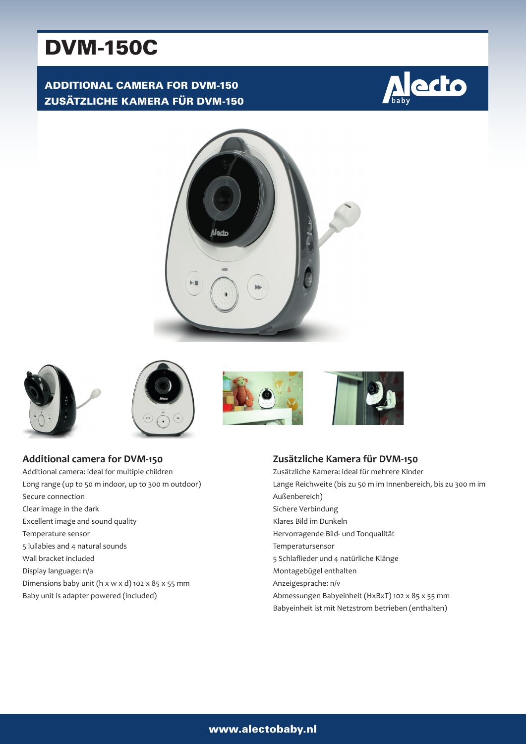# DVM-150C

# ADDITIONAL CAMERA FOR DVM-150 ZUSÄTZLICHE KAMERA FÜR DVM-150













**Additional camera for DVM-150** Additional camera: ideal for multiple children Long range (up to 50 m indoor, up to 300 m outdoor) Secure connection Clear image in the dark Excellent image and sound quality Temperature sensor 5 lullabies and 4 natural sounds Wall bracket included Display language: n/a Dimensions baby unit (h x w x d) 102 x 85 x 55 mm Baby unit is adapter powered (included)

## **Zusätzliche Kamera für DVM-150**

Zusätzliche Kamera: ideal für mehrere Kinder Lange Reichweite (bis zu 50 m im Innenbereich, bis zu 300 m im Außenbereich) Sichere Verbindung Klares Bild im Dunkeln Hervorragende Bild- und Tonqualität Temperatursensor 5 Schlaflieder und 4 natürliche Klänge Montagebügel enthalten Anzeigesprache: n/v Abmessungen Babyeinheit (HxBxT) 102 x 85 x 55 mm Babyeinheit ist mit Netzstrom betrieben (enthalten)